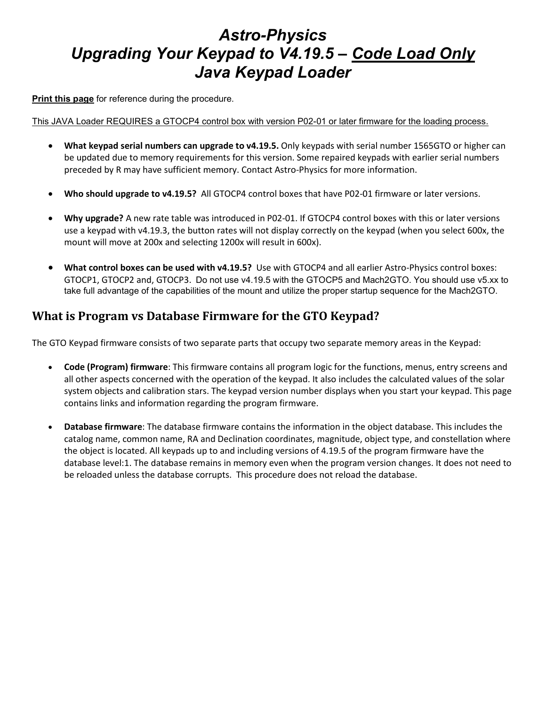# *Astro-Physics Upgrading Your Keypad to V4.19.5 – Code Load Only Java Keypad Loader*

**Print this page** for reference during the procedure.

This JAVA Loader REQUIRES a GTOCP4 control box with version P02-01 or later firmware for the loading process.

- **What keypad serial numbers can upgrade to v4.19.5.** Only keypads with serial number 1565GTO or higher can be updated due to memory requirements for this version. Some repaired keypads with earlier serial numbers preceded by R may have sufficient memory. Contact Astro-Physics for more information.
- **Who should upgrade to v4.19.5?** All GTOCP4 control boxes that have P02-01 firmware or later versions.
- **Why upgrade?** A new rate table was introduced in P02-01. If GTOCP4 control boxes with this or later versions use a keypad with v4.19.3, the button rates will not display correctly on the keypad (when you select 600x, the mount will move at 200x and selecting 1200x will result in 600x).
- **What control boxes can be used with v4.19.5?** Use with GTOCP4 and all earlier Astro-Physics control boxes: GTOCP1, GTOCP2 and, GTOCP3. Do not use v4.19.5 with the GTOCP5 and Mach2GTO. You should use v5.xx to take full advantage of the capabilities of the mount and utilize the proper startup sequence for the Mach2GTO.

#### **What is Program vs Database Firmware for the GTO Keypad?**

The GTO Keypad firmware consists of two separate parts that occupy two separate memory areas in the Keypad:

- **Code (Program) firmware**: This firmware contains all program logic for the functions, menus, entry screens and all other aspects concerned with the operation of the keypad. It also includes the calculated values of the solar system objects and calibration stars. The keypad version number displays when you start your keypad. This page contains links and information regarding the program firmware.
- **Database firmware**: The database firmware contains the information in the object database. This includes the catalog name, common name, RA and Declination coordinates, magnitude, object type, and constellation where the object is located. All keypads up to and including versions of 4.19.5 of the program firmware have the database level:1. The database remains in memory even when the program version changes. It does not need to be reloaded unless the database corrupts. This procedure does not reload the database.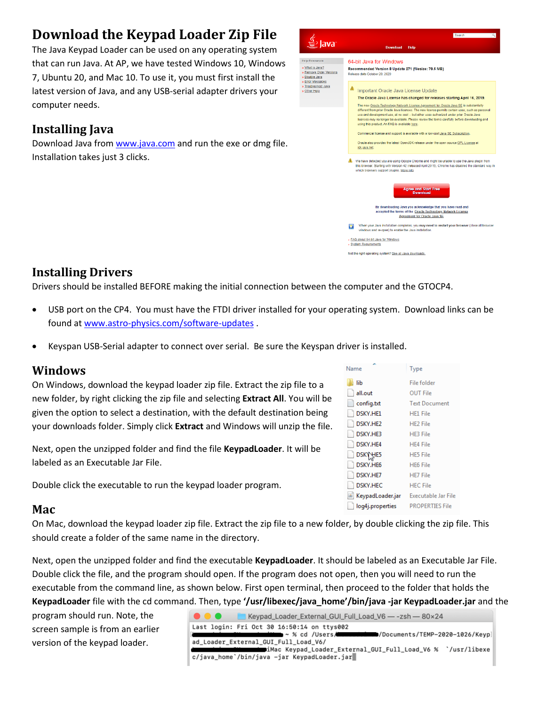# **Download the Keypad Loader Zip File**

The Java Keypad Loader can be used on any operating system that can run Java. At AP, we have tested Windows 10, Windows 7, Ubuntu 20, and Mac 10. To use it, you must first install the latest version of Java, and any USB-serial adapter drivers your computer needs.

### **Installing Java**

Download Java from [www.java.com](http://www.java.com/) and run the exe or dmg file. Installation takes just 3 clicks.



#### **Installing Drivers**

Drivers should be installed BEFORE making the initial connection between the computer and the GTOCP4.

- USB port on the CP4. You must have the FTDI driver installed for your operating system. Download links can be found at [www.astro-physics.com/software-updates](http://www.astro-physics.com/software-updates) .
- Keyspan USB-Serial adapter to connect over serial. Be sure the Keyspan driver is installed.

#### **Windows**

On Windows, download the keypad loader zip file. Extract the zip file to a new folder, by right clicking the zip file and selecting **Extract All**. You will be given the option to select a destination, with the default destination being your downloads folder. Simply click **Extract** and Windows will unzip the file.

Next, open the unzipped folder and find the file **KeypadLoader**. It will be labeled as an Executable Jar File.

Double click the executable to run the keypad loader program.

#### **Mac**

On Mac, download the keypad loader zip file. Extract the zip file to a new folder, by double clicking the zip file. This should create a folder of the same name in the directory.

Next, open the unzipped folder and find the executable **KeypadLoader**. It should be labeled as an Executable Jar File. Double click the file, and the program should open. If the program does not open, then you will need to run the executable from the command line, as shown below. First open terminal, then proceed to the folder that holds the **KeypadLoader** file with the cd command. Then, type **'/usr/libexec/java\_home'/bin/java -jar KeypadLoader.jar** and the

program should run. Note, the screen sample is from an earlier version of the keypad loader.

| . | Keypad_Loader_External_GUI_Full_Load_V6 - - zsh - 80×24                                     |
|---|---------------------------------------------------------------------------------------------|
|   | Last login: Fri Oct 30 16:50:14 on ttys002                                                  |
|   | /Documents/TEMP-2020-1026/Keyp ~ % cd /Users = % / ^ / ^ / / ^ / / Documents/TEMP-2020-1026 |
|   | ad Loader External GUI Full Load V6/                                                        |
|   | iMac Keypad_Loader_External_GUI_Full_Load_V6 % `/usr/libexe\/                               |
|   | c/java_home`/bin/java -jar KeypadLoader.jar                                                 |

| Name             | Type                       |
|------------------|----------------------------|
| lib              | File folder                |
| all.out          | OUT File                   |
| config.txt       | <b>Text Document</b>       |
| DSKY.HE1         | <b>HE1</b> File            |
| DSKY.HE2         | <b>HE2</b> File            |
| DSKY.HE3         | <b>HE3 File</b>            |
| DSKY.HE4         | <b>HE4 File</b>            |
| DSKY HE5         | <b>HE5 File</b>            |
| DSKY.HE6         | <b>HE6 File</b>            |
| DSKY.HE7         | <b>HE7</b> File            |
| <b>DSKY.HEC</b>  | <b>HEC File</b>            |
| KeypadLoader.jar | <b>Executable Jar File</b> |
| log4j.properties | <b>PROPERTIES File</b>     |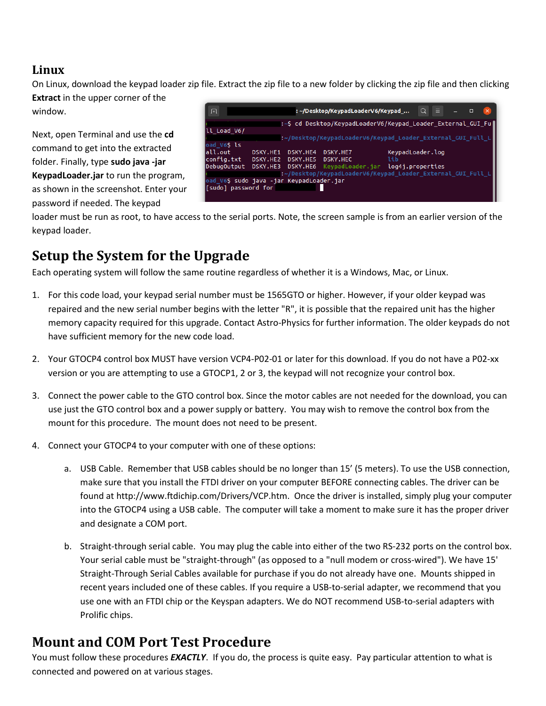#### **Linux**

On Linux, download the keypad loader zip file. Extract the zip file to a new folder by clicking the zip file and then clicking **Extract** in the upper corner of the

window.

Next, open Terminal and use the **cd** command to get into the extracted folder. Finally, type **sudo java -jar KeypadLoader.jar** to run the program, as shown in the screenshot. Enter your password if needed. The keypad

|                     |          |          |                                          | $\alpha$<br>$\equiv$               |                                                                         | $\Box$ |                                                                                                                                                                                             |
|---------------------|----------|----------|------------------------------------------|------------------------------------|-------------------------------------------------------------------------|--------|---------------------------------------------------------------------------------------------------------------------------------------------------------------------------------------------|
|                     |          |          |                                          |                                    |                                                                         |        |                                                                                                                                                                                             |
|                     |          |          |                                          |                                    |                                                                         |        |                                                                                                                                                                                             |
|                     |          |          |                                          |                                    |                                                                         |        |                                                                                                                                                                                             |
|                     |          |          |                                          |                                    |                                                                         |        |                                                                                                                                                                                             |
| DSKY.HE1            | DSKY.HE4 | DSKY.HE7 |                                          |                                    |                                                                         |        |                                                                                                                                                                                             |
| DSKY.HE2            | DSKY.HE5 | DSKY.HEC | lib                                      |                                    |                                                                         |        |                                                                                                                                                                                             |
| DebugOutput         |          |          |                                          |                                    |                                                                         |        |                                                                                                                                                                                             |
|                     |          |          |                                          |                                    |                                                                         |        |                                                                                                                                                                                             |
|                     |          |          |                                          |                                    |                                                                         |        |                                                                                                                                                                                             |
| [sudo] password for |          |          |                                          |                                    |                                                                         |        |                                                                                                                                                                                             |
|                     |          |          |                                          |                                    |                                                                         |        |                                                                                                                                                                                             |
|                     |          |          | oad_V6\$ sudo java -jar KeypadLoader.jar | : ~/Desktop/KeypadLoaderV6/Keypad_ | KeypadLoader.log<br>DSKY.HE3 DSKY.HE6 KeypadLoader.jar log4j.properties |        | :~\$ cd Desktop/KeypadLoaderV6/Keypad Loader External GUI Fu <br>:~/Desktop/KeypadLoaderV6/Keypad Loader External GUI Full L<br>:~/Desktop/KeypadLoaderV6/Keypad_Loader_External_GUI_Full_L |

loader must be run as root, to have access to the serial ports. Note, the screen sample is from an earlier version of the keypad loader.

# **Setup the System for the Upgrade**

Each operating system will follow the same routine regardless of whether it is a Windows, Mac, or Linux.

- 1. For this code load, your keypad serial number must be 1565GTO or higher. However, if your older keypad was repaired and the new serial number begins with the letter "R", it is possible that the repaired unit has the higher memory capacity required for this upgrade. Contact Astro-Physics for further information. The older keypads do not have sufficient memory for the new code load.
- 2. Your GTOCP4 control box MUST have version VCP4-P02-01 or later for this download. If you do not have a P02-xx version or you are attempting to use a GTOCP1, 2 or 3, the keypad will not recognize your control box.
- 3. Connect the power cable to the GTO control box. Since the motor cables are not needed for the download, you can use just the GTO control box and a power supply or battery. You may wish to remove the control box from the mount for this procedure. The mount does not need to be present.
- 4. Connect your GTOCP4 to your computer with one of these options:
	- a. USB Cable. Remember that USB cables should be no longer than 15' (5 meters). To use the USB connection, make sure that you install the FTDI driver on your computer BEFORE connecting cables. The driver can be found at http://www.ftdichip.com/Drivers/VCP.htm. Once the driver is installed, simply plug your computer into the GTOCP4 using a USB cable. The computer will take a moment to make sure it has the proper driver and designate a COM port.
	- b. Straight-through serial cable. You may plug the cable into either of the two RS-232 ports on the control box. Your serial cable must be "straight-through" (as opposed to a "null modem or cross-wired"). We have 15' Straight-Through Serial Cables available for purchase if you do not already have one. Mounts shipped in recent years included one of these cables. If you require a USB-to-serial adapter, we recommend that you use one with an FTDI chip or the Keyspan adapters. We do NOT recommend USB-to-serial adapters with Prolific chips.

## **Mount and COM Port Test Procedure**

You must follow these procedures *EXACTLY*. If you do, the process is quite easy. Pay particular attention to what is connected and powered on at various stages.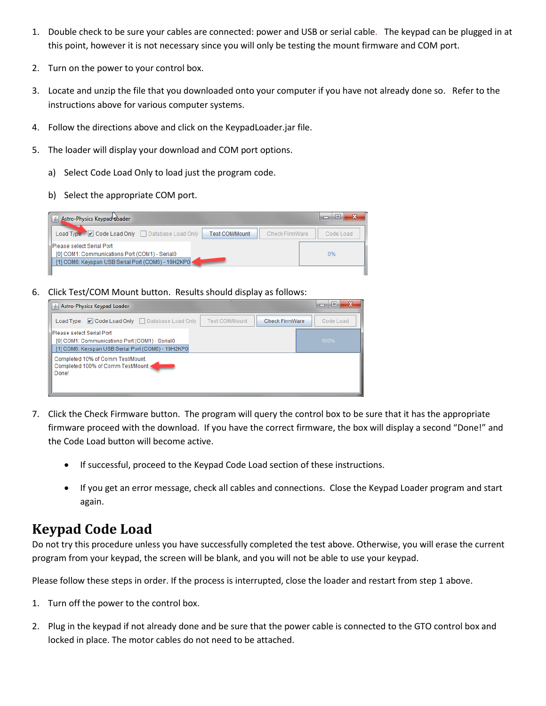- 1. Double check to be sure your cables are connected: power and USB or serial cable. The keypad can be plugged in at this point, however it is not necessary since you will only be testing the mount firmware and COM port.
- 2. Turn on the power to your control box.
- 3. Locate and unzip the file that you downloaded onto your computer if you have not already done so. Refer to the instructions above for various computer systems.
- 4. Follow the directions above and click on the KeypadLoader.jar file.
- 5. The loader will display your download and COM port options.
	- a) Select Code Load Only to load just the program code.
	- b) Select the appropriate COM port.

| Astro-Physics Keypad Boader                                                                                                       | 53<br>$\Box$<br>▭ |
|-----------------------------------------------------------------------------------------------------------------------------------|-------------------|
| Load Type: V Code Load Only Database Load Only<br><b>Check FirmWare</b><br><b>Test COM/Mount</b>                                  | Code Load         |
| Please select Serial Port<br>[0] COM1: Communications Port (COM1) - Serial0<br>[1] COM6: Keyspan USB Serial Port (COM6) - 19H2KP0 | 0%                |
|                                                                                                                                   |                   |

6. Click Test/COM Mount button. Results should display as follows:

| Astro-Physics Keypad Loader                                                                                                        | $\mathbf{x}$<br>e<br>o |
|------------------------------------------------------------------------------------------------------------------------------------|------------------------|
| Load Type: V Code Load Only Database Load Only<br><b>Check FirmWare</b><br><b>Test COM/Mount</b>                                   | Code Load              |
| lPlease select Serial Port<br>[0] COM1: Communications Port (COM1) - Serial0<br>[1] COM6: Keyspan USB Serial Port (COM6) - 19H2KP0 | 100%                   |
| Completed 10% of Comm Test/Mount.<br>Completed 100% of Comm Test/Mount.<br>Donel                                                   |                        |

- 7. Click the Check Firmware button. The program will query the control box to be sure that it has the appropriate firmware proceed with the download. If you have the correct firmware, the box will display a second "Done!" and the Code Load button will become active.
	- If successful, proceed to the Keypad Code Load section of these instructions.
	- If you get an error message, check all cables and connections. Close the Keypad Loader program and start again.

## **Keypad Code Load**

Do not try this procedure unless you have successfully completed the test above. Otherwise, you will erase the current program from your keypad, the screen will be blank, and you will not be able to use your keypad.

Please follow these steps in order. If the process is interrupted, close the loader and restart from step 1 above.

- 1. Turn off the power to the control box.
- 2. Plug in the keypad if not already done and be sure that the power cable is connected to the GTO control box and locked in place. The motor cables do not need to be attached.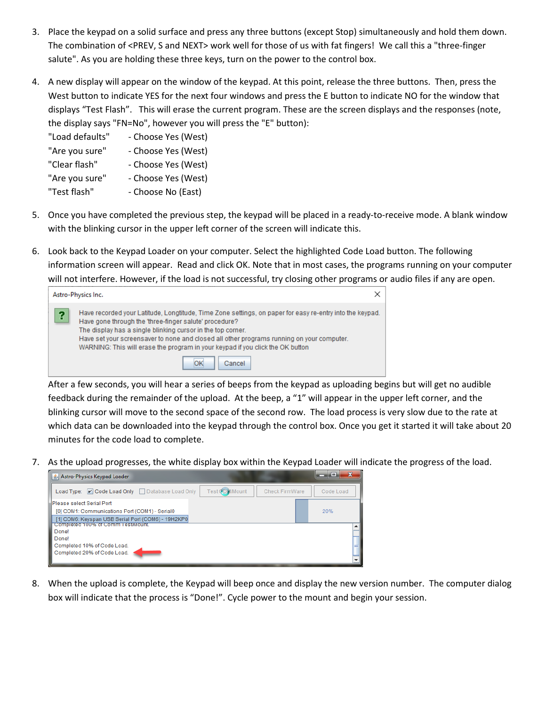- 3. Place the keypad on a solid surface and press any three buttons (except Stop) simultaneously and hold them down. The combination of <PREV, S and NEXT> work well for those of us with fat fingers! We call this a "three-finger salute". As you are holding these three keys, turn on the power to the control box.
- 4. A new display will appear on the window of the keypad. At this point, release the three buttons. Then, press the West button to indicate YES for the next four windows and press the E button to indicate NO for the window that displays "Test Flash". This will erase the current program. These are the screen displays and the responses (note, the display says "FN=No", however you will press the "E" button):
	- "Load defaults" Choose Yes (West)
	- "Are you sure" Choose Yes (West)
	- "Clear flash" Choose Yes (West)
	- "Are you sure" Choose Yes (West)
	- "Test flash" Choose No (East)
- 5. Once you have completed the previous step, the keypad will be placed in a ready-to-receive mode. A blank window with the blinking cursor in the upper left corner of the screen will indicate this.
- 6. Look back to the Keypad Loader on your computer. Select the highlighted Code Load button. The following information screen will appear. Read and click OK. Note that in most cases, the programs running on your computer will not interfere. However, if the load is not successful, try closing other programs or audio files if any are open.



After a few seconds, you will hear a series of beeps from the keypad as uploading begins but will get no audible feedback during the remainder of the upload. At the beep, a "1" will appear in the upper left corner, and the blinking cursor will move to the second space of the second row. The load process is very slow due to the rate at which data can be downloaded into the keypad through the control box. Once you get it started it will take about 20 minutes for the code load to complete.

7. As the upload progresses, the white display box within the Keypad Loader will indicate the progress of the load.



8. When the upload is complete, the Keypad will beep once and display the new version number. The computer dialog box will indicate that the process is "Done!". Cycle power to the mount and begin your session.